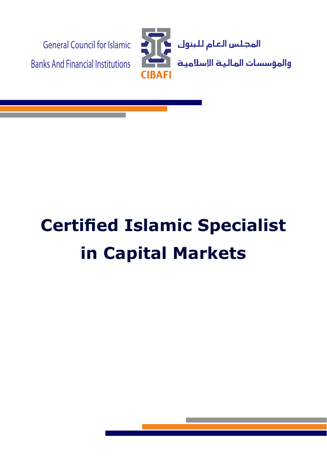

# **Certified Islamic Specialist In Capital Markets**

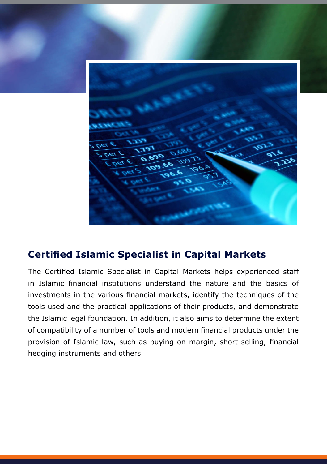## **Certified Islamic Specialist in Capital Markets**

The Certified Islamic Specialist in Capital Markets helps experienced staff in Islamic financial institutions understand the nature and the basics of investments in the various financial markets, identify the techniques of the tools used and the practical applications of their products, and demonstrate the Islamic legal foundation. In addition, it also aims to determine the extent of compatibility of a number of tools and modern financial products under the provision of Islamic law, such as buying on margin, short selling, financial hedging instruments and others.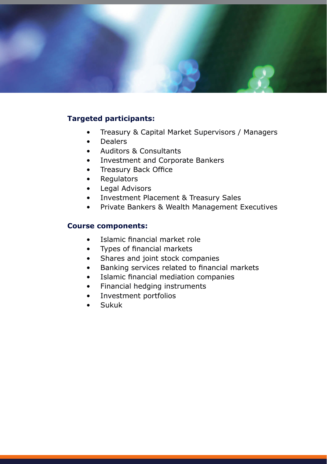

### **Targeted participants:**

- Treasury & Capital Market Supervisors / Managers
- Dealers
- Auditors & Consultants
- Investment and Corporate Bankers
- Treasury Back Office
- Regulators
- Legal Advisors
- Investment Placement & Treasury Sales
- Private Bankers & Wealth Management Executives

#### **Course components:**

- Islamic financial market role
- Types of financial markets
- Shares and joint stock companies
- Banking services related to financial markets
- Islamic financial mediation companies
- Financial hedging instruments
- Investment portfolios
- Sukuk•